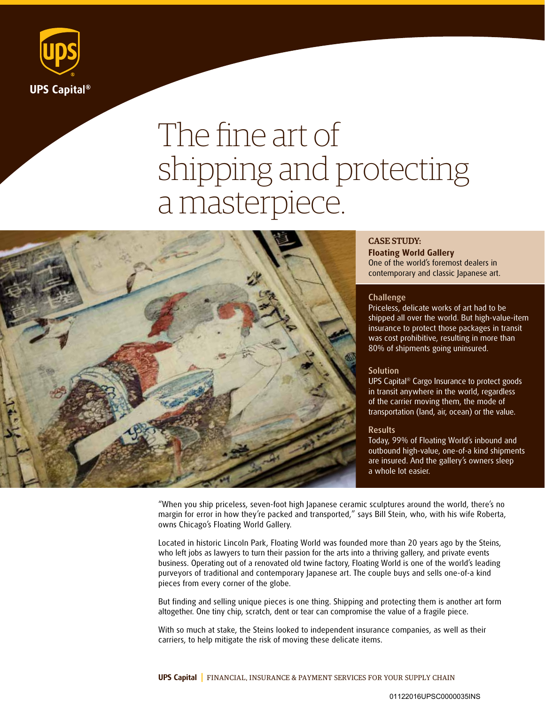

# The fine art of shipping and protecting a masterpiece.



# CASE STUDY:

**Floating World Gallery**  One of the world's foremost dealers in contemporary and classic Japanese art.

### **Challenge**

Priceless, delicate works of art had to be shipped all over the world. But high-value-item insurance to protect those packages in transit was cost prohibitive, resulting in more than 80% of shipments going uninsured.

## **Solution**

UPS Capital® Cargo Insurance to protect goods in transit anywhere in the world, regardless of the carrier moving them, the mode of transportation (land, air, ocean) or the value.

#### **Results**

Today, 99% of Floating World's inbound and outbound high-value, one-of-a kind shipments are insured. And the gallery's owners sleep a whole lot easier.

"When you ship priceless, seven-foot high Japanese ceramic sculptures around the world, there's no margin for error in how they're packed and transported," says Bill Stein, who, with his wife Roberta, owns Chicago's Floating World Gallery.

Located in historic Lincoln Park, Floating World was founded more than 20 years ago by the Steins, who left jobs as lawyers to turn their passion for the arts into a thriving gallery, and private events business. Operating out of a renovated old twine factory, Floating World is one of the world's leading purveyors of traditional and contemporary Japanese art. The couple buys and sells one-of-a kind pieces from every corner of the globe.

But finding and selling unique pieces is one thing. Shipping and protecting them is another art form altogether. One tiny chip, scratch, dent or tear can compromise the value of a fragile piece.

With so much at stake, the Steins looked to independent insurance companies, as well as their carriers, to help mitigate the risk of moving these delicate items.